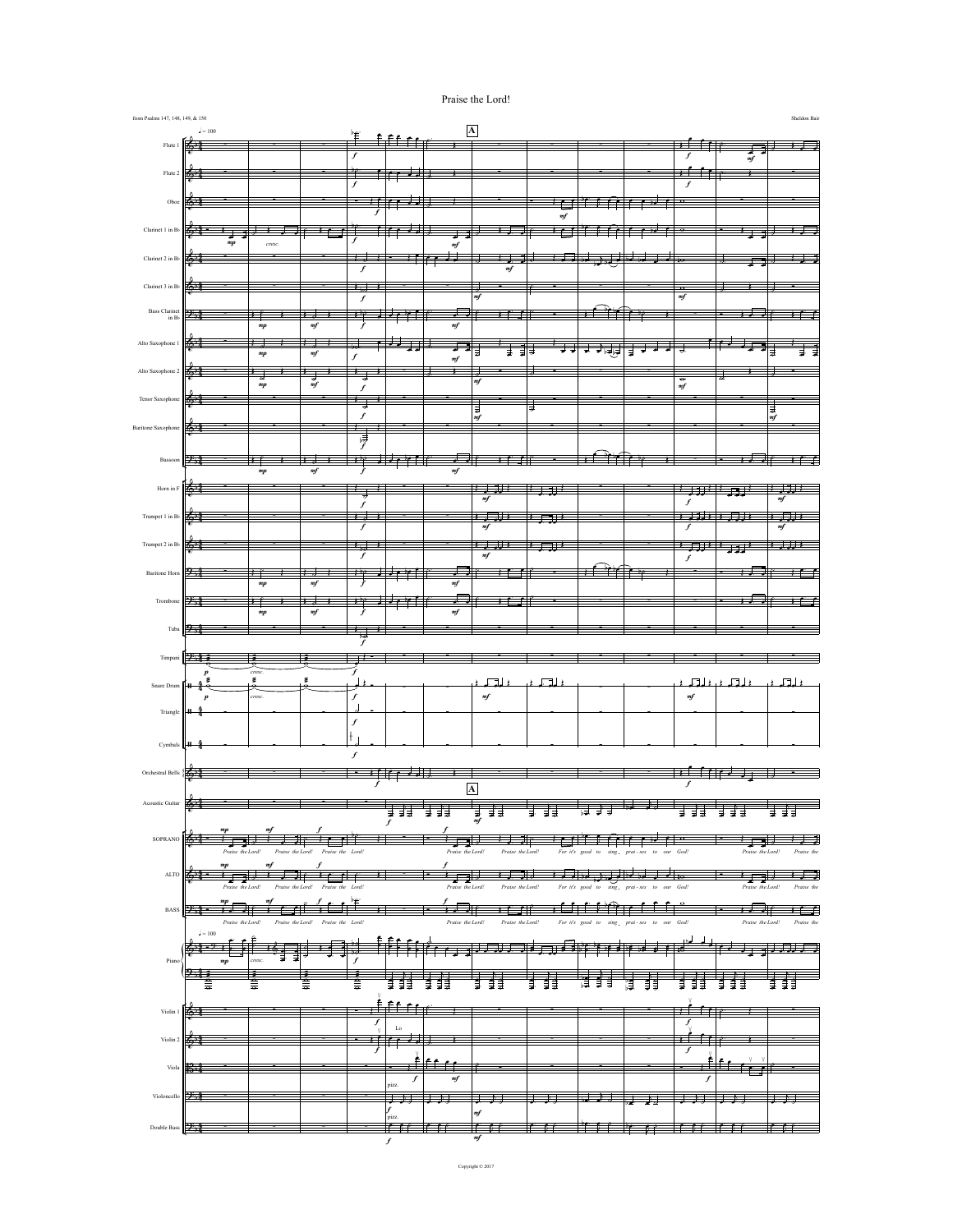Praise the Lord!

| from Psalms 147, 148, 149, & 150                   | $=100$                             |                                    |                                        |                                   |                                |                  |                              |                   |                          |                                                                                 |                                                        |                              | Sheldon Bair                  |
|----------------------------------------------------|------------------------------------|------------------------------------|----------------------------------------|-----------------------------------|--------------------------------|------------------|------------------------------|-------------------|--------------------------|---------------------------------------------------------------------------------|--------------------------------------------------------|------------------------------|-------------------------------|
| Flute 1                                            | ☞                                  |                                    |                                        |                                   | Ŧ<br>$\pm$                     |                  | A                            |                   |                          |                                                                                 |                                                        |                              | ı                             |
|                                                    |                                    |                                    |                                        | $\boldsymbol{f}$                  |                                |                  |                              |                   |                          |                                                                                 | f                                                      | $\it mf$                     |                               |
| Flute 2                                            | 57                                 |                                    |                                        | $\boldsymbol{f}$                  | ▱                              |                  |                              |                   |                          |                                                                                 | $\boldsymbol{f}$                                       |                              |                               |
| Oboe                                               |                                    |                                    |                                        | ∓                                 | -                              |                  |                              |                   |                          |                                                                                 |                                                        |                              |                               |
|                                                    |                                    |                                    |                                        |                                   |                                |                  |                              | ⇇<br>mf           |                          |                                                                                 |                                                        |                              |                               |
| Clarinet 1 in B                                    | æ                                  |                                    |                                        |                                   |                                |                  |                              | ∸                 |                          |                                                                                 |                                                        |                              | $\overline{a}$                |
|                                                    | $_{\boldsymbol{m} \boldsymbol{p}}$ | cresc.                             |                                        | Ĵ<br>∹                            |                                | $\it mf$         |                              |                   |                          |                                                                                 |                                                        |                              |                               |
| Clarinet 2 in B                                    | 6                                  |                                    |                                        | $\frac{1}{2}$<br>$\boldsymbol{f}$ | ਜ                              | ▱                | mf                           |                   |                          |                                                                                 |                                                        |                              | Ŧ.,                           |
| Clarinet 3 in B                                    | 62                                 |                                    |                                        | Ŧ                                 |                                |                  |                              |                   |                          |                                                                                 |                                                        |                              |                               |
|                                                    |                                    |                                    |                                        | $\boldsymbol{f}$                  |                                |                  | mf                           |                   |                          |                                                                                 | $\it mf$                                               |                              |                               |
| ${\rm Bass \; Clarinet \; in \; B}$                |                                    | $_{\it mp}$                        | mf                                     | र स                               |                                | 一<br>mf          |                              |                   |                          |                                                                                 |                                                        | -                            | ਸ                             |
| Alto Saxophone                                     | 67                                 |                                    |                                        |                                   |                                |                  |                              |                   |                          |                                                                                 |                                                        |                              |                               |
|                                                    |                                    | $_{\scriptstyle mp}$               | mf                                     | $\boldsymbol{f}$                  |                                | $\it mf$         | ŧ.                           | ⋣                 |                          | ∃                                                                               |                                                        |                              | ₹<br>₹                        |
| Alto Saxophone 2                                   | 62                                 | $\it mp$                           | すが                                     | Ξ                                 |                                |                  | mſ                           |                   |                          |                                                                                 | $\frac{\sigma}{\pi f}$                                 |                              |                               |
| Tenor Saxophone                                    | 6                                  |                                    |                                        | $\boldsymbol{f}$<br>£<br>₹        |                                |                  |                              |                   |                          |                                                                                 |                                                        |                              |                               |
|                                                    |                                    |                                    |                                        | $\boldsymbol{f}$                  |                                |                  | J<br>mf                      |                   |                          |                                                                                 |                                                        |                              | ₹<br>mf                       |
| <b>Baritone Saxophone</b>                          | ☞                                  |                                    |                                        |                                   |                                |                  |                              |                   |                          |                                                                                 |                                                        |                              |                               |
|                                                    |                                    |                                    |                                        | 這                                 |                                |                  |                              |                   |                          |                                                                                 |                                                        |                              |                               |
| Bassoon                                            | 2.                                 | mp                                 | mf                                     | 样                                 | Ŧ<br>≁<br>≠                    | $_{mf}$          |                              |                   |                          |                                                                                 |                                                        | $\overline{\phantom{a}}$     |                               |
| Hom in F                                           | 61                                 |                                    |                                        | ı                                 |                                |                  | 五足<br>₹                      | $\Box^{\mu}$<br>B |                          |                                                                                 | تربر                                                   | e T                          | $\mathbb{Z}$<br>₱             |
|                                                    |                                    |                                    |                                        | $\boldsymbol{f}$                  |                                |                  | mf                           |                   |                          |                                                                                 | f                                                      |                              | mf                            |
| Trumpet 1 in $\mbox{B\ensuremath{\mathcal{b}}}$    | 6                                  |                                    |                                        | ĭ<br>⇉<br>$\boldsymbol{f}$        |                                |                  | $\sum$<br>m f                | $\Box$            |                          |                                                                                 | $\boldsymbol{f}$                                       | $\leftarrow$ , , , , , , , , | $\overline{1}$<br>$\it mf$    |
| Trumpet 2 in B>                                    | €                                  |                                    |                                        | ∓<br>∹                            |                                |                  | $\Box$                       | $\Box$            |                          |                                                                                 | $\leftarrow$ $\rightarrow$ $\rightarrow$ $\rightarrow$ | 現                            | $\left( \cdot ,\cdot \right)$ |
|                                                    |                                    |                                    |                                        | Ĩ                                 |                                |                  | m f                          |                   |                          |                                                                                 | $\boldsymbol{f}$                                       |                              |                               |
| <b>Baritone Horn</b>                               | 六                                  | $_{\boldsymbol{m} \boldsymbol{p}}$ | 귱<br>mf                                | 14                                | ≖<br>-                         | ł<br>$\it mf$    | −                            |                   |                          |                                                                                 |                                                        | <b>T</b>                     | ਸ                             |
| Trombone                                           | 六                                  |                                    | 크                                      | 扫平                                |                                |                  | ਜ                            |                   |                          |                                                                                 |                                                        | $\overline{1}$               | ∹                             |
|                                                    |                                    | $\mathfrak{m}p$                    | mf                                     |                                   |                                | $\it mf$         |                              |                   |                          |                                                                                 |                                                        |                              |                               |
|                                                    |                                    |                                    |                                        |                                   |                                |                  |                              |                   |                          |                                                                                 |                                                        |                              |                               |
| Tuba                                               | ≠                                  |                                    |                                        |                                   |                                |                  |                              |                   |                          |                                                                                 |                                                        |                              |                               |
|                                                    |                                    |                                    |                                        |                                   |                                |                  |                              |                   |                          |                                                                                 |                                                        |                              |                               |
| Timpani                                            | 六<br>$\boldsymbol{p}$              | $\overline{c}$                     |                                        |                                   |                                |                  |                              |                   |                          |                                                                                 |                                                        |                              |                               |
| Snare Drum                                         | "#                                 | i<br>R                             | ş                                      |                                   |                                |                  |                              | J.                |                          |                                                                                 | ш                                                      | ПJ                           | Д,                            |
|                                                    | $\boldsymbol{p}$                   | cresc.                             |                                        | $\boldsymbol{f}$                  |                                |                  | $\it mf$                     |                   |                          |                                                                                 | $\it mf$                                               |                              |                               |
| Triangle                                           | $+ 4$                              |                                    |                                        | $\boldsymbol{f}$                  |                                |                  |                              |                   |                          |                                                                                 |                                                        |                              |                               |
| Cymbals $\frac{1}{4}$                              |                                    |                                    |                                        |                                   |                                |                  |                              |                   |                          |                                                                                 |                                                        |                              |                               |
|                                                    |                                    |                                    |                                        | $\boldsymbol{f}$                  |                                |                  |                              |                   |                          |                                                                                 |                                                        |                              |                               |
| Orchestral Bells                                   | 奁                                  |                                    |                                        |                                   | $*$<br>₹                       |                  |                              |                   |                          |                                                                                 | ∗                                                      |                              |                               |
|                                                    |                                    |                                    |                                        |                                   |                                |                  | A                            |                   |                          |                                                                                 | f                                                      |                              |                               |
| Acoustic Guitar                                    |                                    |                                    |                                        |                                   |                                |                  |                              | इ. इ.इ            | ा≢ ≢ ₹                   |                                                                                 | <u>क ब्रक्क का ब्रक्</u>                               |                              | ∌ ≢≢                          |
|                                                    |                                    |                                    |                                        |                                   | ब्रिबेडेट ब्रिडेडे<br><i>१</i> |                  | च्चे चे जे<br><i>ब्रै</i>    |                   |                          |                                                                                 |                                                        |                              |                               |
| SOPRANO                                            | Ġ.<br>Praise the Lord!             |                                    | ⋥<br>Praise the Lord! Praise the Lord! | ⇉<br>≠                            |                                | Praise the Lord! | ナーナド<br>Praise the Lord!     | * r 11            |                          | $\rightarrow$<br>For it's good to sing prai-ses to our God!                     | $\overline{\phantom{a}}$                               | Praise the Lord!             | * J. J<br>Praise the          |
|                                                    |                                    |                                    |                                        |                                   |                                |                  |                              |                   |                          |                                                                                 |                                                        |                              |                               |
| ALTO                                               | a,<br>Praise the Lord!             | Ŧ<br>Praise the Lord!              | ᅫ                                      | Praise the Lord!                  |                                | Praise the Lord! | ⇇<br>⊐ੁਾ<br>Praise the Lord! | ⋽⋽<br>रेजे        | 5.                       | _ <sub>be</sub> - i bei sel<br>For it's good to $\sin g$ , prai-ses to our God! | $\frac{1}{2}$                                          | -4<br>Praise the Lord!       | 月<br>Praise the               |
| <b>BASS</b>                                        | mp                                 |                                    |                                        |                                   |                                |                  |                              |                   | — مغني                   |                                                                                 |                                                        | ≖                            | Ē                             |
|                                                    | Praise the Lord!                   | Praise the Lord!                   |                                        | Praise the Lord!                  |                                | Praise the Lord! | Praise the Lord!             |                   |                          | For it's good to sing, prai-ses to our God!                                     |                                                        | Praise the Lord!             | ⊒<br>Praise the               |
|                                                    | $=100$                             |                                    |                                        |                                   | $\mathbb{H}$                   |                  |                              |                   |                          | Ŧ                                                                               |                                                        |                              |                               |
| Piano                                              | mp                                 | resc                               |                                        | $\boldsymbol{f}$                  |                                | ا ہے۔            | , , , , , ,                  | s<br>Ŧ            | $\overline{\phantom{a}}$ | $\overline{\phantom{a}}$                                                        |                                                        |                              | ョルカバ                          |
|                                                    | $\frac{9.45}{2}$                   |                                    |                                        |                                   |                                |                  |                              |                   |                          |                                                                                 |                                                        |                              |                               |
|                                                    | 듷                                  | ᇰ                                  | all #                                  | <b>Allaw</b><br>£                 | 茸茸<br>۴                        | TI               | €<br>€                       | Ħ<br>₫            | Ţ<br>₹<br>₹              | ŧ<br>厚                                                                          | €<br>नु<br>₹                                           | Ŧ<br>€                       | T<br>₹                        |
| Violin 1                                           | ئجم                                |                                    |                                        |                                   |                                |                  |                              |                   |                          |                                                                                 |                                                        |                              |                               |
|                                                    |                                    |                                    |                                        | $\boldsymbol{f}$<br>$\mathbf{v}$  | Lo                             |                  |                              |                   |                          |                                                                                 | f                                                      |                              |                               |
| Violin $2\,$                                       | 每                                  |                                    |                                        | f                                 | t i r                          |                  |                              |                   |                          |                                                                                 | $\boldsymbol{f}$                                       |                              |                               |
| Viola                                              | 3-1                                |                                    |                                        |                                   | ئاظ                            |                  |                              |                   |                          |                                                                                 | ≠                                                      | ≂                            |                               |
|                                                    |                                    |                                    |                                        |                                   | $\boldsymbol{f}$<br>pizz.      | mf               |                              |                   |                          |                                                                                 | f                                                      |                              |                               |
| Violoncello                                        | 六                                  |                                    |                                        |                                   | J<br>f                         | 坦                |                              | ⊥                 | Ŧ                        | Ħ                                                                               | 辻                                                      | $\overline{1}$               | $\downarrow$ ) $\downarrow$   |
| Double Bass $\left \frac{1}{2},\frac{1}{2}\right $ |                                    |                                    |                                        |                                   | pizz<br>.<br>Eff               | ≠<br>Ŧ           | $\it mf$<br>€<br>₽ſ          | $\mathbb H$       |                          | f. I                                                                            | ₹                                                      |                              |                               |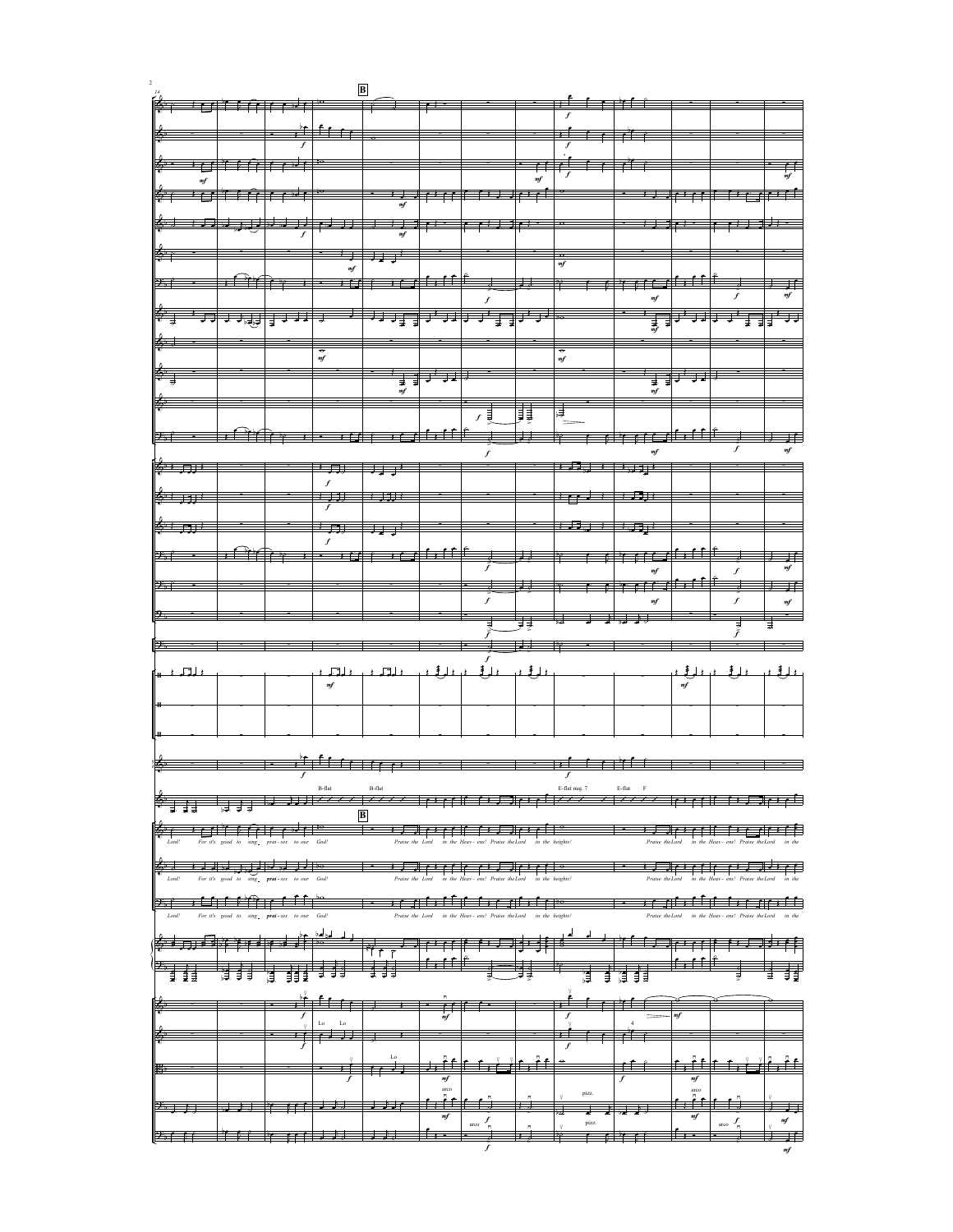| 6r                                                                  |                                                                                                                                                                                                                    | $\left  \cdot \right $ , $\left  \cdot \right $ , $\left  \cdot \right $ , $\left  \cdot \right $ , $\left  \cdot \right $ , $\left  \cdot \right $ , $\left  \cdot \right $ | $\Rightarrow$                | $\, {\bf B}$                                                                                  |                                                                                                                 |                                                                                                                                                                                                                                                        |                                          | $\mathbf{z}^{\top}$ if an interference of $\mathbf{z}$         |                                            |                                                                                           |                                                                                          |
|---------------------------------------------------------------------|--------------------------------------------------------------------------------------------------------------------------------------------------------------------------------------------------------------------|------------------------------------------------------------------------------------------------------------------------------------------------------------------------------|------------------------------|-----------------------------------------------------------------------------------------------|-----------------------------------------------------------------------------------------------------------------|--------------------------------------------------------------------------------------------------------------------------------------------------------------------------------------------------------------------------------------------------------|------------------------------------------|----------------------------------------------------------------|--------------------------------------------|-------------------------------------------------------------------------------------------|------------------------------------------------------------------------------------------|
|                                                                     |                                                                                                                                                                                                                    |                                                                                                                                                                              |                              |                                                                                               |                                                                                                                 |                                                                                                                                                                                                                                                        |                                          |                                                                |                                            |                                                                                           |                                                                                          |
|                                                                     |                                                                                                                                                                                                                    |                                                                                                                                                                              |                              |                                                                                               |                                                                                                                 |                                                                                                                                                                                                                                                        |                                          | ≀                                                              | $\mathbf{f}$ is a function of $\mathbf{f}$ |                                                                                           |                                                                                          |
|                                                                     |                                                                                                                                                                                                                    |                                                                                                                                                                              |                              |                                                                                               |                                                                                                                 |                                                                                                                                                                                                                                                        |                                          |                                                                |                                            |                                                                                           |                                                                                          |
| $\cdot$ $\cdot$ $\cdot$                                             | हिन्दी ।                                                                                                                                                                                                           | $\epsilon \rightarrow \epsilon$                                                                                                                                              |                              |                                                                                               |                                                                                                                 |                                                                                                                                                                                                                                                        |                                          | ن البراني<br>مراجع                                             |                                            |                                                                                           |                                                                                          |
| mf                                                                  |                                                                                                                                                                                                                    |                                                                                                                                                                              |                              |                                                                                               |                                                                                                                 |                                                                                                                                                                                                                                                        | m f                                      |                                                                |                                            |                                                                                           |                                                                                          |
|                                                                     | $\cdot$ , , , , , , , , , ,                                                                                                                                                                                        | الحمام                                                                                                                                                                       |                              |                                                                                               | Jako este                                                                                                       |                                                                                                                                                                                                                                                        | インフィング                                   |                                                                |                                            | J e territo                                                                               | $\cdots$                                                                                 |
|                                                                     |                                                                                                                                                                                                                    |                                                                                                                                                                              | الرابع                       |                                                                                               |                                                                                                                 |                                                                                                                                                                                                                                                        |                                          |                                                                |                                            | $\sum_{i=1}^{n}$                                                                          |                                                                                          |
|                                                                     |                                                                                                                                                                                                                    | الحار المؤلفا المراران المؤ                                                                                                                                                  |                              |                                                                                               | $\left\{ \begin{array}{c} 1 \\ -1 \end{array} \right\}$ $\left\{ \begin{array}{c} 1 \\ -1 \end{array} \right\}$ | $\mathbf{f} \in \mathbb{R}^{n \times n}$                                                                                                                                                                                                               |                                          |                                                                |                                            |                                                                                           | $\mathbf{r} \cdot \mathbf{r}$                                                            |
| 65                                                                  |                                                                                                                                                                                                                    |                                                                                                                                                                              | $^{\prime}$ $\pm$            | $J \overline{J} \overline{J}^T$                                                               |                                                                                                                 |                                                                                                                                                                                                                                                        |                                          |                                                                |                                            |                                                                                           |                                                                                          |
|                                                                     |                                                                                                                                                                                                                    |                                                                                                                                                                              | mf                           |                                                                                               |                                                                                                                 |                                                                                                                                                                                                                                                        |                                          | mf                                                             |                                            |                                                                                           |                                                                                          |
|                                                                     |                                                                                                                                                                                                                    |                                                                                                                                                                              | ा ज                          |                                                                                               | أأننانا                                                                                                         |                                                                                                                                                                                                                                                        |                                          |                                                                |                                            | ألأنبو                                                                                    |                                                                                          |
|                                                                     |                                                                                                                                                                                                                    |                                                                                                                                                                              |                              |                                                                                               |                                                                                                                 |                                                                                                                                                                                                                                                        |                                          |                                                                |                                            |                                                                                           | $\boldsymbol{f}$                                                                         |
| ☞                                                                   |                                                                                                                                                                                                                    |                                                                                                                                                                              |                              | <del>ן נ'ין בן ני ני דן בן ני ני דן ני ני ד</del> ן <del>ליצי בע,</del>                       |                                                                                                                 |                                                                                                                                                                                                                                                        |                                          |                                                                |                                            | اندرافه دراندراف                                                                          |                                                                                          |
|                                                                     |                                                                                                                                                                                                                    |                                                                                                                                                                              |                              |                                                                                               |                                                                                                                 |                                                                                                                                                                                                                                                        |                                          |                                                                |                                            |                                                                                           |                                                                                          |
|                                                                     |                                                                                                                                                                                                                    |                                                                                                                                                                              |                              |                                                                                               |                                                                                                                 |                                                                                                                                                                                                                                                        |                                          |                                                                |                                            |                                                                                           |                                                                                          |
|                                                                     |                                                                                                                                                                                                                    |                                                                                                                                                                              | $\frac{\sigma}{\textit{mf}}$ |                                                                                               |                                                                                                                 |                                                                                                                                                                                                                                                        |                                          | $\frac{\sigma}{\textit{mf}}$                                   |                                            |                                                                                           |                                                                                          |
| 色                                                                   |                                                                                                                                                                                                                    |                                                                                                                                                                              |                              |                                                                                               | इइस्लि                                                                                                          |                                                                                                                                                                                                                                                        |                                          |                                                                |                                            | नुसम्बर<br>पुरुष                                                                          | <u>т.</u>                                                                                |
|                                                                     |                                                                                                                                                                                                                    |                                                                                                                                                                              |                              | $\it mf$                                                                                      |                                                                                                                 |                                                                                                                                                                                                                                                        |                                          |                                                                | $\it mf$                                   |                                                                                           |                                                                                          |
|                                                                     |                                                                                                                                                                                                                    |                                                                                                                                                                              |                              |                                                                                               |                                                                                                                 | $f \frac{1}{2}$                                                                                                                                                                                                                                        | ţ                                        | 同                                                              |                                            |                                                                                           |                                                                                          |
|                                                                     |                                                                                                                                                                                                                    |                                                                                                                                                                              |                              |                                                                                               |                                                                                                                 |                                                                                                                                                                                                                                                        |                                          |                                                                |                                            |                                                                                           |                                                                                          |
|                                                                     |                                                                                                                                                                                                                    |                                                                                                                                                                              |                              |                                                                                               | $f$ , $f$ , $f$                                                                                                 |                                                                                                                                                                                                                                                        |                                          |                                                                | $  -$                                      | $\epsilon$ for $\epsilon$ for $\epsilon$                                                  |                                                                                          |
|                                                                     |                                                                                                                                                                                                                    |                                                                                                                                                                              |                              |                                                                                               |                                                                                                                 | f                                                                                                                                                                                                                                                      |                                          |                                                                |                                            |                                                                                           |                                                                                          |
| $\delta$ $\mathbf{H}$                                               |                                                                                                                                                                                                                    |                                                                                                                                                                              | म ग्रा<br>$\boldsymbol{f}$   | <del>기</del> ਹੁਾਂ                                                                             |                                                                                                                 |                                                                                                                                                                                                                                                        |                                          | <del>र उत्तर</del>                                             | ギャラリキ                                      |                                                                                           |                                                                                          |
| $\overset{\leftrightarrow}{\bullet}$ : $\Box$                       |                                                                                                                                                                                                                    |                                                                                                                                                                              | $\Box$                       | $\overline{z}$                                                                                |                                                                                                                 |                                                                                                                                                                                                                                                        |                                          | ŦŦ                                                             | $\Box$<br>⇉                                |                                                                                           |                                                                                          |
|                                                                     |                                                                                                                                                                                                                    |                                                                                                                                                                              |                              |                                                                                               |                                                                                                                 |                                                                                                                                                                                                                                                        |                                          |                                                                |                                            |                                                                                           |                                                                                          |
| ن ر <del>و.</del>                                                   |                                                                                                                                                                                                                    |                                                                                                                                                                              | <u>र प्राप्त</u>             | 万丁                                                                                            |                                                                                                                 |                                                                                                                                                                                                                                                        |                                          |                                                                | ا را ب                                     |                                                                                           |                                                                                          |
|                                                                     |                                                                                                                                                                                                                    |                                                                                                                                                                              |                              |                                                                                               |                                                                                                                 |                                                                                                                                                                                                                                                        |                                          |                                                                |                                            |                                                                                           |                                                                                          |
| 六千                                                                  | ∓                                                                                                                                                                                                                  | ेगी ग<br>ਜ                                                                                                                                                                   |                              | $\frac{1}{2}$ , $\frac{1}{2}$ , $\frac{1}{2}$ , $\frac{1}{2}$ , $\frac{1}{2}$ , $\frac{1}{2}$ |                                                                                                                 |                                                                                                                                                                                                                                                        | 聂                                        |                                                                | * 6 f                                      | أأألئهام                                                                                  |                                                                                          |
|                                                                     |                                                                                                                                                                                                                    |                                                                                                                                                                              |                              |                                                                                               |                                                                                                                 |                                                                                                                                                                                                                                                        |                                          |                                                                |                                            |                                                                                           | f                                                                                        |
| ど一                                                                  |                                                                                                                                                                                                                    |                                                                                                                                                                              |                              |                                                                                               |                                                                                                                 |                                                                                                                                                                                                                                                        |                                          |                                                                |                                            | ▬                                                                                         | ᆗ                                                                                        |
|                                                                     |                                                                                                                                                                                                                    |                                                                                                                                                                              |                              |                                                                                               |                                                                                                                 | f                                                                                                                                                                                                                                                      |                                          |                                                                |                                            |                                                                                           | f                                                                                        |
|                                                                     |                                                                                                                                                                                                                    |                                                                                                                                                                              |                              |                                                                                               |                                                                                                                 |                                                                                                                                                                                                                                                        | 萁                                        |                                                                | ₩                                          |                                                                                           | ₹                                                                                        |
|                                                                     |                                                                                                                                                                                                                    |                                                                                                                                                                              |                              |                                                                                               |                                                                                                                 |                                                                                                                                                                                                                                                        |                                          |                                                                |                                            |                                                                                           |                                                                                          |
|                                                                     |                                                                                                                                                                                                                    |                                                                                                                                                                              |                              |                                                                                               |                                                                                                                 |                                                                                                                                                                                                                                                        |                                          |                                                                |                                            |                                                                                           |                                                                                          |
|                                                                     |                                                                                                                                                                                                                    |                                                                                                                                                                              |                              |                                                                                               |                                                                                                                 |                                                                                                                                                                                                                                                        |                                          |                                                                |                                            |                                                                                           |                                                                                          |
|                                                                     |                                                                                                                                                                                                                    |                                                                                                                                                                              | د للت                        | $\pm$ $\Box$                                                                                  | دار از د .                                                                                                      | ∄l≀<br>$\mathbf{r}$                                                                                                                                                                                                                                    | <u>、 手</u>                               |                                                                |                                            | للله                                                                                      |                                                                                          |
|                                                                     |                                                                                                                                                                                                                    |                                                                                                                                                                              | $\it mf$                     |                                                                                               |                                                                                                                 |                                                                                                                                                                                                                                                        |                                          |                                                                |                                            | $\it mf$                                                                                  |                                                                                          |
|                                                                     |                                                                                                                                                                                                                    |                                                                                                                                                                              |                              |                                                                                               |                                                                                                                 |                                                                                                                                                                                                                                                        |                                          |                                                                |                                            |                                                                                           | ے بار اق                                                                                 |
|                                                                     |                                                                                                                                                                                                                    |                                                                                                                                                                              |                              |                                                                                               |                                                                                                                 |                                                                                                                                                                                                                                                        |                                          |                                                                |                                            |                                                                                           |                                                                                          |
|                                                                     |                                                                                                                                                                                                                    |                                                                                                                                                                              |                              |                                                                                               |                                                                                                                 |                                                                                                                                                                                                                                                        |                                          |                                                                |                                            |                                                                                           |                                                                                          |
|                                                                     |                                                                                                                                                                                                                    |                                                                                                                                                                              |                              |                                                                                               |                                                                                                                 |                                                                                                                                                                                                                                                        |                                          |                                                                |                                            |                                                                                           |                                                                                          |
|                                                                     |                                                                                                                                                                                                                    |                                                                                                                                                                              |                              | $\frac{1}{2}$ if if if $\epsilon$ if $\epsilon$ if $\epsilon$                                 |                                                                                                                 |                                                                                                                                                                                                                                                        |                                          | $\begin{array}{ccc} \cdot & \cdot & \cdot & \cdot \end{array}$ |                                            |                                                                                           |                                                                                          |
|                                                                     |                                                                                                                                                                                                                    |                                                                                                                                                                              | B-flat                       | B-flat                                                                                        |                                                                                                                 |                                                                                                                                                                                                                                                        |                                          | $\boldsymbol{f}$<br>E-flat maj. 7                              | $\operatorname{E-flat}$<br>$\mathbf{F}$    |                                                                                           |                                                                                          |
|                                                                     |                                                                                                                                                                                                                    |                                                                                                                                                                              |                              | 1111   1111                                                                                   | $\pm$ and $\pm$                                                                                                 |                                                                                                                                                                                                                                                        | $\left\{ \cdots \right\}$ r i r $\vdots$ |                                                                |                                            | $\frac{1}{2}$                                                                             | ਿ                                                                                        |
|                                                                     |                                                                                                                                                                                                                    |                                                                                                                                                                              |                              | B                                                                                             |                                                                                                                 |                                                                                                                                                                                                                                                        |                                          |                                                                |                                            |                                                                                           |                                                                                          |
|                                                                     |                                                                                                                                                                                                                    | ⊶−                                                                                                                                                                           | ÷                            | -<br>$\overline{\mathbf{z}}$                                                                  | $\overline{H}$                                                                                                  |                                                                                                                                                                                                                                                        | チャプライト                                   |                                                                | $\overline{\phantom{a}}$                   |                                                                                           |                                                                                          |
| Lord.                                                               | $\label{eq:2.1} \begin{array}{lll} For \emph{ it's} & \emph{good} & \emph{to} & \emph{sing} \; \mbox{,} & \emph{prai - ses} & \emph{to our} \end{array}$                                                           |                                                                                                                                                                              | God!                         |                                                                                               |                                                                                                                 | Praise the Lord in the Heav- ens! Praise the Lord                                                                                                                                                                                                      |                                          | in the heights!                                                | Praise the Lord                            |                                                                                           |                                                                                          |
|                                                                     | $\mathcal{E} = \begin{bmatrix} 1 & 1 & 1 \\ 1 & 1 & 1 \end{bmatrix}$ , $\mathcal{E} = \begin{bmatrix} 1 & 1 & 1 \\ 1 & 1 & 1 \end{bmatrix}$ , $\mathcal{E} = \begin{bmatrix} 1 & 1 & 1 \\ 1 & 1 & 1 \end{bmatrix}$ |                                                                                                                                                                              |                              |                                                                                               |                                                                                                                 | アフィシィイヤ アシアフィシィイヤ                                                                                                                                                                                                                                      |                                          |                                                                |                                            | フィシィイヤ アシアファシ                                                                             |                                                                                          |
| Lord!                                                               | For it's good to sing <b>prai</b> - ses to our                                                                                                                                                                     |                                                                                                                                                                              | God!                         |                                                                                               |                                                                                                                 | Praise the Lord in the Heav- ens! Praise the Lord                                                                                                                                                                                                      |                                          | in the heights!                                                | Praise the Lord                            |                                                                                           |                                                                                          |
|                                                                     |                                                                                                                                                                                                                    |                                                                                                                                                                              |                              |                                                                                               |                                                                                                                 |                                                                                                                                                                                                                                                        |                                          |                                                                | =                                          |                                                                                           |                                                                                          |
| Lord!                                                               | ∢⊑if l**r<br>For it's good to sing, prai-ses to our God!                                                                                                                                                           |                                                                                                                                                                              |                              |                                                                                               |                                                                                                                 | $\rightarrow$ $\epsilon$ , $\epsilon$ , $\epsilon$ , $\epsilon$ , $\epsilon$ , $\epsilon$ , $\epsilon$ , $\epsilon$ , $\epsilon$ , $\epsilon$ , $\epsilon$ , $\epsilon$ , $\epsilon$ , $\epsilon$<br>Praise the Lord in the Heav- ens! Praise the Lord |                                          | in the heights!                                                |                                            | <u>, , , , , , , , , , , , , , ,</u><br>Praise the Lord in the Heav- ens! Praise the Lord |                                                                                          |
|                                                                     |                                                                                                                                                                                                                    |                                                                                                                                                                              |                              |                                                                                               |                                                                                                                 |                                                                                                                                                                                                                                                        |                                          |                                                                |                                            |                                                                                           |                                                                                          |
|                                                                     |                                                                                                                                                                                                                    | $5.75 \times 10^{15} \times 10^{16}$                                                                                                                                         | ها اه ه                      |                                                                                               |                                                                                                                 |                                                                                                                                                                                                                                                        |                                          |                                                                |                                            |                                                                                           |                                                                                          |
|                                                                     |                                                                                                                                                                                                                    |                                                                                                                                                                              |                              |                                                                                               |                                                                                                                 |                                                                                                                                                                                                                                                        |                                          |                                                                |                                            |                                                                                           |                                                                                          |
| tj                                                                  | 漂ず<br>ţ                                                                                                                                                                                                            | 淳<br>ŢŢ                                                                                                                                                                      | ₹₹                           | ₹₹                                                                                            |                                                                                                                 |                                                                                                                                                                                                                                                        | चू                                       | ₿                                                              | 淳事                                         |                                                                                           | ਭ੍                                                                                       |
|                                                                     |                                                                                                                                                                                                                    |                                                                                                                                                                              |                              |                                                                                               |                                                                                                                 |                                                                                                                                                                                                                                                        |                                          |                                                                |                                            |                                                                                           |                                                                                          |
|                                                                     |                                                                                                                                                                                                                    | ⋣                                                                                                                                                                            | ≡<br>₹                       | ⇉                                                                                             | ⊄                                                                                                               |                                                                                                                                                                                                                                                        |                                          | ≖                                                              |                                            |                                                                                           |                                                                                          |
| $\overline{\mathbb{H}}$ . The<br>⋐<br>6 -<br>ウード<br>⊚∘≉ Γ∃ ≉ ⊅<br>6 |                                                                                                                                                                                                                    |                                                                                                                                                                              | Lo<br>Lo                     |                                                                                               |                                                                                                                 |                                                                                                                                                                                                                                                        |                                          | f                                                              | $\overline{4}$                             | mf                                                                                        |                                                                                          |
|                                                                     |                                                                                                                                                                                                                    |                                                                                                                                                                              |                              |                                                                                               |                                                                                                                 |                                                                                                                                                                                                                                                        |                                          | $\prime$                                                       |                                            |                                                                                           |                                                                                          |
|                                                                     |                                                                                                                                                                                                                    |                                                                                                                                                                              |                              | Lo                                                                                            |                                                                                                                 |                                                                                                                                                                                                                                                        |                                          |                                                                |                                            |                                                                                           | in the Heav- ens! Praise the Lord<br>in the Heav- ens! Praise the Lord<br>71. J. J. 1999 |
|                                                                     |                                                                                                                                                                                                                    |                                                                                                                                                                              |                              |                                                                                               |                                                                                                                 |                                                                                                                                                                                                                                                        |                                          |                                                                |                                            | ≠                                                                                         |                                                                                          |
|                                                                     |                                                                                                                                                                                                                    |                                                                                                                                                                              | f                            |                                                                                               | mf<br>arco                                                                                                      |                                                                                                                                                                                                                                                        |                                          | pizz.                                                          | $\boldsymbol{f}$                           | mf<br>$\arccos$                                                                           |                                                                                          |
|                                                                     |                                                                                                                                                                                                                    | 6 E E                                                                                                                                                                        | ररे                          |                                                                                               |                                                                                                                 |                                                                                                                                                                                                                                                        |                                          |                                                                |                                            |                                                                                           |                                                                                          |
| ジャー                                                                 |                                                                                                                                                                                                                    |                                                                                                                                                                              |                              |                                                                                               | mf                                                                                                              | arco                                                                                                                                                                                                                                                   |                                          | pizz.                                                          | ₩                                          | mf                                                                                        | arco                                                                                     |